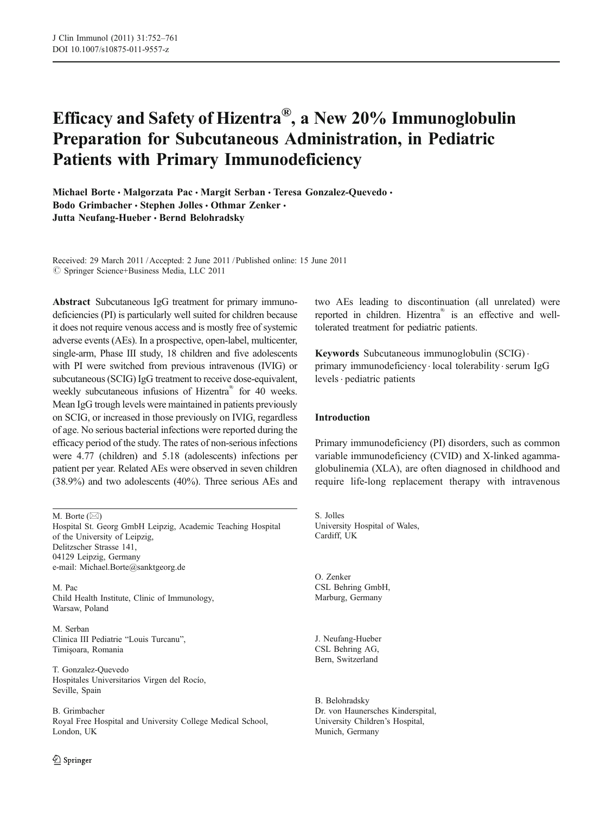# Efficacy and Safety of Hizentra®, a New 20% Immunoglobulin Preparation for Subcutaneous Administration, in Pediatric Patients with Primary Immunodeficiency

Michael Borte • Malgorzata Pac • Margit Serban • Teresa Gonzalez-Quevedo • Bodo Grimbacher · Stephen Jolles · Othmar Zenker · Jutta Neufang-Hueber · Bernd Belohradsky

Received: 29 March 2011 /Accepted: 2 June 2011 / Published online: 15 June 2011  $\circledcirc$  Springer Science+Business Media, LLC 2011

Abstract Subcutaneous IgG treatment for primary immunodeficiencies (PI) is particularly well suited for children because it does not require venous access and is mostly free of systemic adverse events (AEs). In a prospective, open-label, multicenter, single-arm, Phase III study, 18 children and five adolescents with PI were switched from previous intravenous (IVIG) or subcutaneous (SCIG) IgG treatment to receive dose-equivalent, weekly subcutaneous infusions of Hizentra<sup>®</sup> for 40 weeks. Mean IgG trough levels were maintained in patients previously on SCIG, or increased in those previously on IVIG, regardless of age. No serious bacterial infections were reported during the efficacy period of the study. The rates of non-serious infections were 4.77 (children) and 5.18 (adolescents) infections per patient per year. Related AEs were observed in seven children (38.9%) and two adolescents (40%). Three serious AEs and

M. Borte  $(\boxtimes)$ 

Hospital St. Georg GmbH Leipzig, Academic Teaching Hospital of the University of Leipzig, Delitzscher Strasse 141, 04129 Leipzig, Germany e-mail: Michael.Borte@sanktgeorg.de

M. Pac Child Health Institute, Clinic of Immunology, Warsaw, Poland

M. Serban Clinica III Pediatrie "Louis Turcanu", Timișoara, Romania

T. Gonzalez-Quevedo Hospitales Universitarios Virgen del Rocío, Seville, Spain

B. Grimbacher Royal Free Hospital and University College Medical School, London, UK

two AEs leading to discontinuation (all unrelated) were reported in children. Hizentra<sup>®</sup> is an effective and welltolerated treatment for pediatric patients.

Keywords Subcutaneous immunoglobulin (SCIG) . primary immunodeficiency · local tolerability · serum IgG levels . pediatric patients

# Introduction

Primary immunodeficiency (PI) disorders, such as common variable immunodeficiency (CVID) and X-linked agammaglobulinemia (XLA), are often diagnosed in childhood and require life-long replacement therapy with intravenous

S. Jolles University Hospital of Wales, Cardiff, UK

O. Zenker CSL Behring GmbH, Marburg, Germany

J. Neufang-Hueber CSL Behring AG, Bern, Switzerland

B. Belohradsky Dr. von Haunersches Kinderspital, University Children's Hospital, Munich, Germany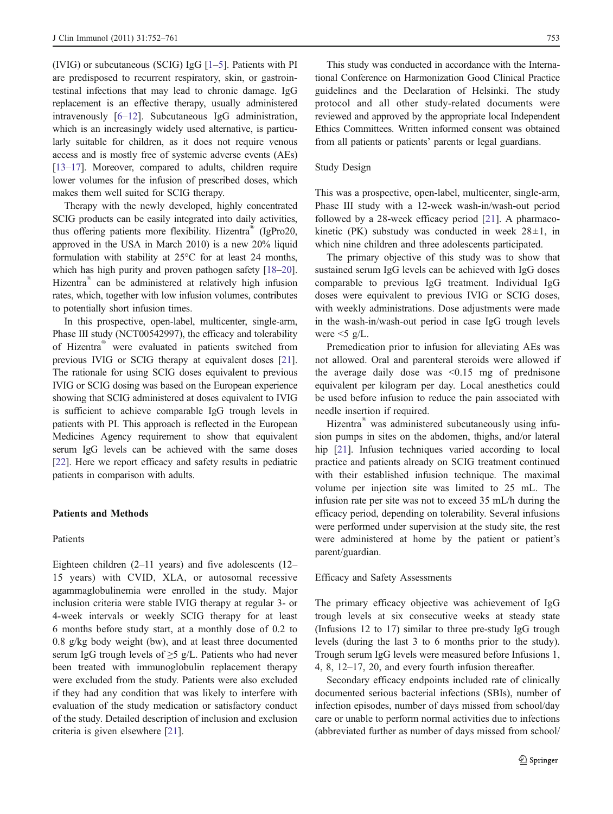(IVIG) or subcutaneous (SCIG) IgG [\[1](#page-8-0)–[5](#page-9-0)]. Patients with PI are predisposed to recurrent respiratory, skin, or gastrointestinal infections that may lead to chronic damage. IgG replacement is an effective therapy, usually administered intravenously [[6](#page-9-0)–[12](#page-9-0)]. Subcutaneous IgG administration, which is an increasingly widely used alternative, is particularly suitable for children, as it does not require venous access and is mostly free of systemic adverse events (AEs) [\[13](#page-9-0)–[17\]](#page-9-0). Moreover, compared to adults, children require lower volumes for the infusion of prescribed doses, which makes them well suited for SCIG therapy.

Therapy with the newly developed, highly concentrated SCIG products can be easily integrated into daily activities, thus offering patients more flexibility. Hizentra® (IgPro20, approved in the USA in March 2010) is a new 20% liquid formulation with stability at 25°C for at least 24 months, which has high purity and proven pathogen safety [\[18](#page-9-0)–[20\]](#page-9-0). Hizentra® can be administered at relatively high infusion rates, which, together with low infusion volumes, contributes to potentially short infusion times.

In this prospective, open-label, multicenter, single-arm, Phase III study (NCT00542997), the efficacy and tolerability of Hizentra® were evaluated in patients switched from previous IVIG or SCIG therapy at equivalent doses [[21\]](#page-9-0). The rationale for using SCIG doses equivalent to previous IVIG or SCIG dosing was based on the European experience showing that SCIG administered at doses equivalent to IVIG is sufficient to achieve comparable IgG trough levels in patients with PI. This approach is reflected in the European Medicines Agency requirement to show that equivalent serum IgG levels can be achieved with the same doses [\[22\]](#page-9-0). Here we report efficacy and safety results in pediatric patients in comparison with adults.

## Patients and Methods

## Patients

Eighteen children (2–11 years) and five adolescents (12– 15 years) with CVID, XLA, or autosomal recessive agammaglobulinemia were enrolled in the study. Major inclusion criteria were stable IVIG therapy at regular 3- or 4-week intervals or weekly SCIG therapy for at least 6 months before study start, at a monthly dose of 0.2 to 0.8 g/kg body weight (bw), and at least three documented serum IgG trough levels of  $\geq$ 5 g/L. Patients who had never been treated with immunoglobulin replacement therapy were excluded from the study. Patients were also excluded if they had any condition that was likely to interfere with evaluation of the study medication or satisfactory conduct of the study. Detailed description of inclusion and exclusion criteria is given elsewhere [\[21](#page-9-0)].

This study was conducted in accordance with the International Conference on Harmonization Good Clinical Practice guidelines and the Declaration of Helsinki. The study protocol and all other study-related documents were reviewed and approved by the appropriate local Independent Ethics Committees. Written informed consent was obtained from all patients or patients' parents or legal guardians.

# Study Design

This was a prospective, open-label, multicenter, single-arm, Phase III study with a 12-week wash-in/wash-out period followed by a 28-week efficacy period [[21\]](#page-9-0). A pharmacokinetic (PK) substudy was conducted in week  $28 \pm 1$ , in which nine children and three adolescents participated.

The primary objective of this study was to show that sustained serum IgG levels can be achieved with IgG doses comparable to previous IgG treatment. Individual IgG doses were equivalent to previous IVIG or SCIG doses, with weekly administrations. Dose adjustments were made in the wash-in/wash-out period in case IgG trough levels were  $\leq$   $\frac{g}{L}$ .

Premedication prior to infusion for alleviating AEs was not allowed. Oral and parenteral steroids were allowed if the average daily dose was  $\leq 0.15$  mg of prednisone equivalent per kilogram per day. Local anesthetics could be used before infusion to reduce the pain associated with needle insertion if required.

Hizentra® was administered subcutaneously using infusion pumps in sites on the abdomen, thighs, and/or lateral hip [[21\]](#page-9-0). Infusion techniques varied according to local practice and patients already on SCIG treatment continued with their established infusion technique. The maximal volume per injection site was limited to 25 mL. The infusion rate per site was not to exceed 35 mL/h during the efficacy period, depending on tolerability. Several infusions were performed under supervision at the study site, the rest were administered at home by the patient or patient's parent/guardian.

# Efficacy and Safety Assessments

The primary efficacy objective was achievement of IgG trough levels at six consecutive weeks at steady state (Infusions 12 to 17) similar to three pre-study IgG trough levels (during the last 3 to 6 months prior to the study). Trough serum IgG levels were measured before Infusions 1, 4, 8, 12–17, 20, and every fourth infusion thereafter.

Secondary efficacy endpoints included rate of clinically documented serious bacterial infections (SBIs), number of infection episodes, number of days missed from school/day care or unable to perform normal activities due to infections (abbreviated further as number of days missed from school/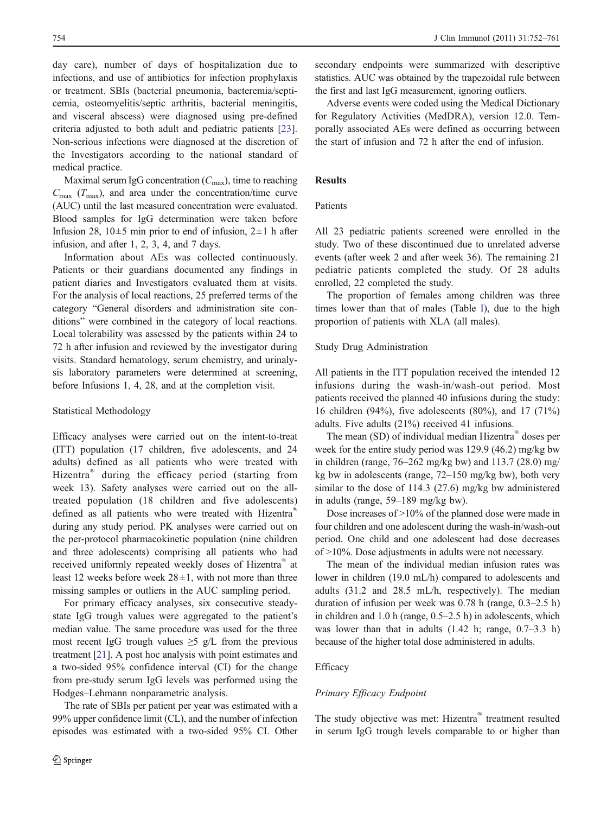day care), number of days of hospitalization due to infections, and use of antibiotics for infection prophylaxis or treatment. SBIs (bacterial pneumonia, bacteremia/septicemia, osteomyelitis/septic arthritis, bacterial meningitis, and visceral abscess) were diagnosed using pre-defined criteria adjusted to both adult and pediatric patients [\[23](#page-9-0)]. Non-serious infections were diagnosed at the discretion of the Investigators according to the national standard of medical practice.

Maximal serum IgG concentration  $(C_{\text{max}})$ , time to reaching  $C_{\text{max}}$  ( $T_{\text{max}}$ ), and area under the concentration/time curve (AUC) until the last measured concentration were evaluated. Blood samples for IgG determination were taken before Infusion 28,  $10\pm 5$  min prior to end of infusion,  $2\pm 1$  h after infusion, and after 1, 2, 3, 4, and 7 days.

Information about AEs was collected continuously. Patients or their guardians documented any findings in patient diaries and Investigators evaluated them at visits. For the analysis of local reactions, 25 preferred terms of the category "General disorders and administration site conditions" were combined in the category of local reactions. Local tolerability was assessed by the patients within 24 to 72 h after infusion and reviewed by the investigator during visits. Standard hematology, serum chemistry, and urinalysis laboratory parameters were determined at screening, before Infusions 1, 4, 28, and at the completion visit.

#### Statistical Methodology

Efficacy analyses were carried out on the intent-to-treat (ITT) population (17 children, five adolescents, and 24 adults) defined as all patients who were treated with Hizentra® during the efficacy period (starting from week 13). Safety analyses were carried out on the alltreated population (18 children and five adolescents) defined as all patients who were treated with Hizentra® during any study period. PK analyses were carried out on the per-protocol pharmacokinetic population (nine children and three adolescents) comprising all patients who had received uniformly repeated weekly doses of Hizentra<sup>®</sup> at least 12 weeks before week  $28 \pm 1$ , with not more than three missing samples or outliers in the AUC sampling period.

For primary efficacy analyses, six consecutive steadystate IgG trough values were aggregated to the patient's median value. The same procedure was used for the three most recent IgG trough values  $\geq$ 5 g/L from the previous treatment [[21\]](#page-9-0). A post hoc analysis with point estimates and a two-sided 95% confidence interval (CI) for the change from pre-study serum IgG levels was performed using the Hodges–Lehmann nonparametric analysis.

The rate of SBIs per patient per year was estimated with a 99% upper confidence limit (CL), and the number of infection episodes was estimated with a two-sided 95% CI. Other secondary endpoints were summarized with descriptive statistics. AUC was obtained by the trapezoidal rule between the first and last IgG measurement, ignoring outliers.

Adverse events were coded using the Medical Dictionary for Regulatory Activities (MedDRA), version 12.0. Temporally associated AEs were defined as occurring between the start of infusion and 72 h after the end of infusion.

# Results

## Patients

All 23 pediatric patients screened were enrolled in the study. Two of these discontinued due to unrelated adverse events (after week 2 and after week 36). The remaining 21 pediatric patients completed the study. Of 28 adults enrolled, 22 completed the study.

The proportion of females among children was three times lower than that of males (Table [I](#page-3-0)), due to the high proportion of patients with XLA (all males).

# Study Drug Administration

All patients in the ITT population received the intended 12 infusions during the wash-in/wash-out period. Most patients received the planned 40 infusions during the study: 16 children (94%), five adolescents (80%), and 17 (71%) adults. Five adults (21%) received 41 infusions.

The mean (SD) of individual median Hizentra® doses per week for the entire study period was 129.9 (46.2) mg/kg bw in children (range,  $76-262$  mg/kg bw) and  $113.7$  (28.0) mg/ kg bw in adolescents (range, 72–150 mg/kg bw), both very similar to the dose of 114.3 (27.6) mg/kg bw administered in adults (range, 59–189 mg/kg bw).

Dose increases of >10% of the planned dose were made in four children and one adolescent during the wash-in/wash-out period. One child and one adolescent had dose decreases of >10%. Dose adjustments in adults were not necessary.

The mean of the individual median infusion rates was lower in children (19.0 mL/h) compared to adolescents and adults (31.2 and 28.5 mL/h, respectively). The median duration of infusion per week was 0.78 h (range, 0.3–2.5 h) in children and 1.0 h (range, 0.5–2.5 h) in adolescents, which was lower than that in adults  $(1.42 \text{ h}; \text{range}, 0.7–3.3 \text{ h})$ because of the higher total dose administered in adults.

# Efficacy

## Primary Efficacy Endpoint

The study objective was met: Hizentra® treatment resulted in serum IgG trough levels comparable to or higher than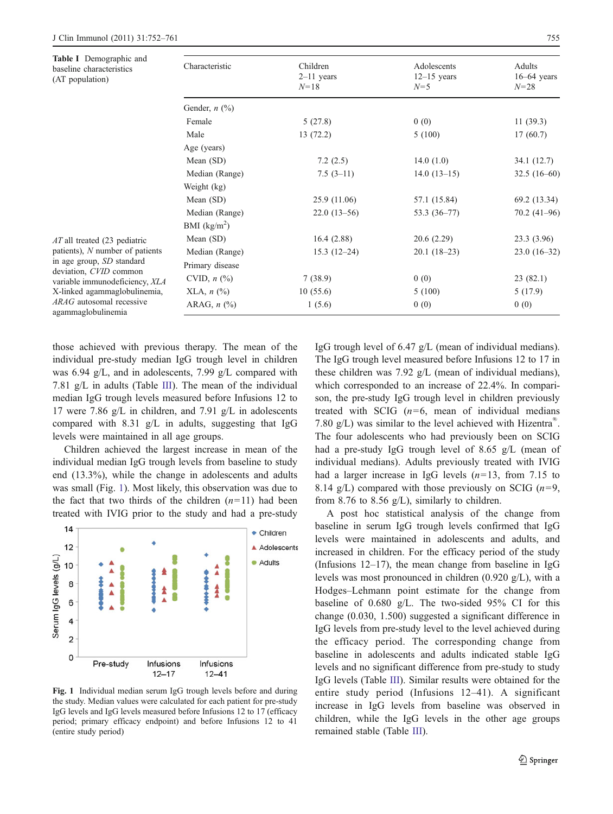<span id="page-3-0"></span>Table I Demographic and baseline characteristics  $(A<sup>2</sup>)$ 

| baseline characteristics<br>(AT population)                                                                                                                                                | Characteristic                         | Children<br>$2-11$ years<br>$N = 18$ | Adolescents<br>$12-15$ years<br>$N=5$ | Adults<br>$16-64$ years<br>$N = 28$ |
|--------------------------------------------------------------------------------------------------------------------------------------------------------------------------------------------|----------------------------------------|--------------------------------------|---------------------------------------|-------------------------------------|
|                                                                                                                                                                                            | Gender, $n$ $(\%)$                     |                                      |                                       |                                     |
|                                                                                                                                                                                            | Female                                 | 5(27.8)                              | 0(0)                                  | 11(39.3)                            |
|                                                                                                                                                                                            | Male                                   | 13(72.2)                             | 5(100)                                | 17(60.7)                            |
|                                                                                                                                                                                            | Age (years)                            |                                      |                                       |                                     |
|                                                                                                                                                                                            | Mean (SD)                              | 7.2(2.5)                             | 14.0 $(1.0)$                          | 34.1 (12.7)                         |
|                                                                                                                                                                                            | Median (Range)                         | $7.5(3-11)$                          | $14.0(13-15)$                         | $32.5(16-60)$                       |
|                                                                                                                                                                                            | Weight (kg)                            |                                      |                                       |                                     |
|                                                                                                                                                                                            | Mean $(SD)$                            | 25.9(11.06)                          | 57.1 (15.84)                          | 69.2 (13.34)                        |
|                                                                                                                                                                                            | Median (Range)                         | $22.0(13-56)$                        | 53.3 $(36-77)$                        | $70.2(41 - 96)$                     |
|                                                                                                                                                                                            | BMI $(kg/m2)$                          |                                      |                                       |                                     |
| $AT$ all treated (23 pediatric<br>patients), N number of patients<br>in age group, SD standard<br>deviation, CVID common<br>variable immunodeficiency, XLA<br>X-linked agammaglobulinemia, | Mean (SD)                              | 16.4(2.88)                           | 20.6(2.29)                            | 23.3(3.96)                          |
|                                                                                                                                                                                            | Median (Range)                         | $15.3(12-24)$                        | $20.1(18-23)$                         | $23.0(16-32)$                       |
|                                                                                                                                                                                            | Primary disease                        |                                      |                                       |                                     |
|                                                                                                                                                                                            | CVID, $n$ $\left(\frac{9}{0}\right)$   | 7(38.9)                              | 0(0)                                  | 23(82.1)                            |
|                                                                                                                                                                                            | $XLA$ , $n$ $\left(\frac{9}{0}\right)$ | 10(55.6)                             | 5(100)                                | 5(17.9)                             |
| ARAG autosomal recessive<br>agammaglobulinemia                                                                                                                                             | ARAG, $n$ $\left(\frac{0}{0}\right)$   | 1(5.6)                               | 0(0)                                  | 0(0)                                |

those achieved with previous therapy. The mean of the individual pre-study median IgG trough level in children was 6.94 g/L, and in adolescents, 7.99 g/L compared with 7.81 g/L in adults (Table [III](#page-5-0)). The mean of the individual median IgG trough levels measured before Infusions 12 to 17 were 7.86 g/L in children, and 7.91 g/L in adolescents compared with 8.31 g/L in adults, suggesting that IgG levels were maintained in all age groups.

Children achieved the largest increase in mean of the individual median IgG trough levels from baseline to study end (13.3%), while the change in adolescents and adults was small (Fig. 1). Most likely, this observation was due to the fact that two thirds of the children  $(n=11)$  had been treated with IVIG prior to the study and had a pre-study



Fig. 1 Individual median serum IgG trough levels before and during the study. Median values were calculated for each patient for pre-study IgG levels and IgG levels measured before Infusions 12 to 17 (efficacy period; primary efficacy endpoint) and before Infusions 12 to 41 (entire study period)

IgG trough level of 6.47 g/L (mean of individual medians). The IgG trough level measured before Infusions 12 to 17 in these children was 7.92 g/L (mean of individual medians), which corresponded to an increase of 22.4%. In comparison, the pre-study IgG trough level in children previously treated with SCIG  $(n=6, \text{mean of individual medians})$ 7.80 g/L) was similar to the level achieved with Hizentra® . The four adolescents who had previously been on SCIG had a pre-study IgG trough level of 8.65 g/L (mean of individual medians). Adults previously treated with IVIG had a larger increase in IgG levels  $(n=13, \text{ from } 7.15 \text{ to } 10^{-19})$ 8.14 g/L) compared with those previously on SCIG  $(n=9)$ . from 8.76 to 8.56 g/L), similarly to children.

A post hoc statistical analysis of the change from baseline in serum IgG trough levels confirmed that IgG levels were maintained in adolescents and adults, and increased in children. For the efficacy period of the study (Infusions  $12-17$ ), the mean change from baseline in IgG levels was most pronounced in children (0.920 g/L), with a Hodges–Lehmann point estimate for the change from baseline of 0.680 g/L. The two-sided 95% CI for this change (0.030, 1.500) suggested a significant difference in IgG levels from pre-study level to the level achieved during the efficacy period. The corresponding change from baseline in adolescents and adults indicated stable IgG levels and no significant difference from pre-study to study IgG levels (Table [III\)](#page-5-0). Similar results were obtained for the entire study period (Infusions 12–41). A significant increase in IgG levels from baseline was observed in children, while the IgG levels in the other age groups remained stable (Table [III](#page-5-0)).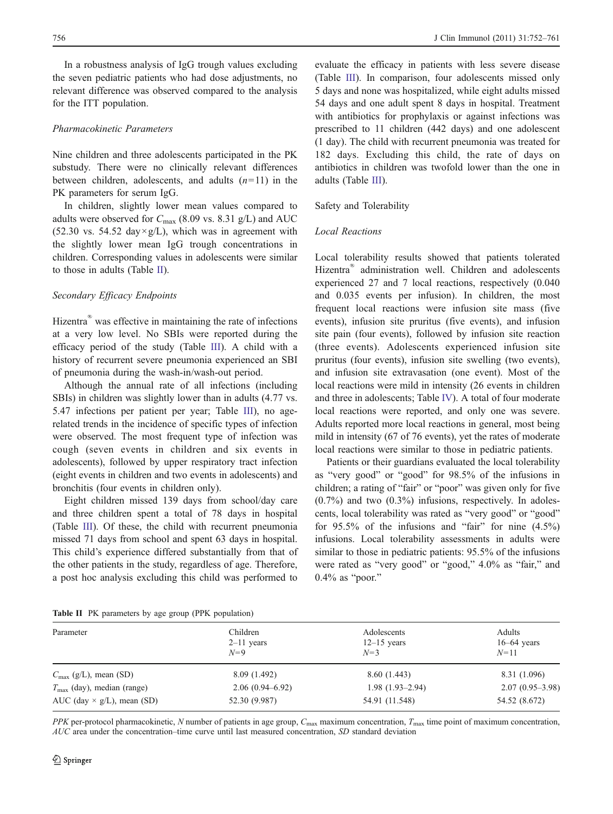In a robustness analysis of IgG trough values excluding the seven pediatric patients who had dose adjustments, no relevant difference was observed compared to the analysis for the ITT population.

#### Pharmacokinetic Parameters

Nine children and three adolescents participated in the PK substudy. There were no clinically relevant differences between children, adolescents, and adults  $(n=11)$  in the PK parameters for serum IgG.

In children, slightly lower mean values compared to adults were observed for  $C_{\text{max}}$  (8.09 vs. 8.31 g/L) and AUC (52.30 vs. 54.52 day×g/L), which was in agreement with the slightly lower mean IgG trough concentrations in children. Corresponding values in adolescents were similar to those in adults (Table II).

# Secondary Efficacy Endpoints

Hizentra® was effective in maintaining the rate of infections at a very low level. No SBIs were reported during the efficacy period of the study (Table [III](#page-5-0)). A child with a history of recurrent severe pneumonia experienced an SBI of pneumonia during the wash-in/wash-out period.

Although the annual rate of all infections (including SBIs) in children was slightly lower than in adults (4.77 vs. 5.47 infections per patient per year; Table [III](#page-5-0)), no agerelated trends in the incidence of specific types of infection were observed. The most frequent type of infection was cough (seven events in children and six events in adolescents), followed by upper respiratory tract infection (eight events in children and two events in adolescents) and bronchitis (four events in children only).

Eight children missed 139 days from school/day care and three children spent a total of 78 days in hospital (Table [III](#page-5-0)). Of these, the child with recurrent pneumonia missed 71 days from school and spent 63 days in hospital. This child's experience differed substantially from that of the other patients in the study, regardless of age. Therefore, a post hoc analysis excluding this child was performed to evaluate the efficacy in patients with less severe disease (Table [III\)](#page-5-0). In comparison, four adolescents missed only 5 days and none was hospitalized, while eight adults missed 54 days and one adult spent 8 days in hospital. Treatment with antibiotics for prophylaxis or against infections was prescribed to 11 children (442 days) and one adolescent (1 day). The child with recurrent pneumonia was treated for 182 days. Excluding this child, the rate of days on antibiotics in children was twofold lower than the one in adults (Table [III](#page-5-0)).

Safety and Tolerability

#### Local Reactions

Local tolerability results showed that patients tolerated Hizentra® administration well. Children and adolescents experienced 27 and 7 local reactions, respectively (0.040 and 0.035 events per infusion). In children, the most frequent local reactions were infusion site mass (five events), infusion site pruritus (five events), and infusion site pain (four events), followed by infusion site reaction (three events). Adolescents experienced infusion site pruritus (four events), infusion site swelling (two events), and infusion site extravasation (one event). Most of the local reactions were mild in intensity (26 events in children and three in adolescents; Table [IV\)](#page-6-0). A total of four moderate local reactions were reported, and only one was severe. Adults reported more local reactions in general, most being mild in intensity (67 of 76 events), yet the rates of moderate local reactions were similar to those in pediatric patients.

Patients or their guardians evaluated the local tolerability as "very good" or "good" for 98.5% of the infusions in children; a rating of "fair" or "poor" was given only for five  $(0.7\%)$  and two  $(0.3\%)$  infusions, respectively. In adolescents, local tolerability was rated as "very good" or "good" for  $95.5\%$  of the infusions and "fair" for nine  $(4.5\%)$ infusions. Local tolerability assessments in adults were similar to those in pediatric patients: 95.5% of the infusions were rated as "very good" or "good," 4.0% as "fair," and 0.4% as "poor."

Table II PK parameters by age group (PPK population)

| Parameter                              | Children<br>$2-11$ years<br>$N=9$ | Adolescents<br>$12-15$ years<br>$N=3$ | Adults<br>$16-64$ years<br>$N = 11$ |
|----------------------------------------|-----------------------------------|---------------------------------------|-------------------------------------|
| $C_{\text{max}}$ (g/L), mean (SD)      | 8.09 (1.492)                      | 8.60 (1.443)                          | 8.31 (1.096)                        |
| $T_{\text{max}}$ (day), median (range) | $2.06(0.94 - 6.92)$               | $1.98(1.93-2.94)$                     | $2.07(0.95-3.98)$                   |
| AUC (day $\times$ g/L), mean (SD)      | 52.30 (9.987)                     | 54.91 (11.548)                        | 54.52 (8.672)                       |

PPK per-protocol pharmacokinetic, N number of patients in age group,  $C_{\text{max}}$  maximum concentration,  $T_{\text{max}}$  time point of maximum concentration, AUC area under the concentration–time curve until last measured concentration, SD standard deviation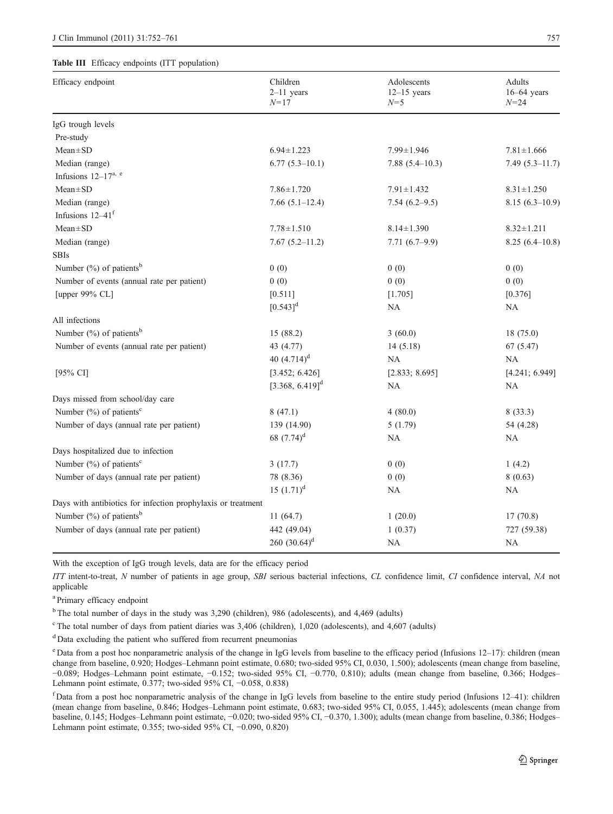#### <span id="page-5-0"></span>Table III Efficacy endpoints (ITT population)

| Efficacy endpoint                                            | Children<br>$2-11$ years<br>$N = 17$ | Adolescents<br>$12-15$ years<br>$N=5$ | Adults<br>$16-64$ years<br>$N = 24$ |
|--------------------------------------------------------------|--------------------------------------|---------------------------------------|-------------------------------------|
| IgG trough levels                                            |                                      |                                       |                                     |
| Pre-study                                                    |                                      |                                       |                                     |
| $Mean \pm SD$                                                | $6.94 \pm 1.223$                     | $7.99 \pm 1.946$                      | $7.81 \pm 1.666$                    |
| Median (range)                                               | $6.77(5.3-10.1)$                     | $7.88(5.4 - 10.3)$                    | $7.49(5.3 - 11.7)$                  |
| Infusions $12-17^{a, e}$                                     |                                      |                                       |                                     |
| $Mean \pm SD$                                                | $7.86 \pm 1.720$                     | $7.91 \pm 1.432$                      | $8.31 \pm 1.250$                    |
| Median (range)                                               | $7.66(5.1-12.4)$                     | $7.54(6.2-9.5)$                       | $8.15(6.3-10.9)$                    |
| Infusions 12-41f                                             |                                      |                                       |                                     |
| $Mean \pm SD$                                                | $7.78 \pm 1.510$                     | $8.14 \pm 1.390$                      | $8.32 \pm 1.211$                    |
| Median (range)                                               | $7.67(5.2 - 11.2)$                   | $7.71(6.7-9.9)$                       | $8.25(6.4-10.8)$                    |
| <b>SBIs</b>                                                  |                                      |                                       |                                     |
| Number (%) of patients <sup>b</sup>                          | 0(0)                                 | 0(0)                                  | 0(0)                                |
| Number of events (annual rate per patient)                   | 0(0)                                 | 0(0)                                  | 0(0)                                |
| [upper 99% CL]                                               | $[0.511]$                            | [1.705]                               | [0.376]                             |
|                                                              | $[0.543]^{d}$                        | <b>NA</b>                             | <b>NA</b>                           |
| All infections                                               |                                      |                                       |                                     |
| Number $(\%)$ of patients <sup>b</sup>                       | 15 (88.2)                            | 3(60.0)                               | 18 (75.0)                           |
| Number of events (annual rate per patient)                   | 43 (4.77)                            | 14(5.18)                              | 67 (5.47)                           |
|                                                              | 40 $(4.714)^d$                       | NA                                    | <b>NA</b>                           |
| $[95\% \text{ CI}]$                                          | [3.452; 6.426]                       | [2.833; 8.695]                        | [4.241; 6.949]                      |
|                                                              | $[3.368, 6.419]$ <sup>d</sup>        | <b>NA</b>                             | <b>NA</b>                           |
| Days missed from school/day care                             |                                      |                                       |                                     |
| Number $(\%)$ of patients <sup>c</sup>                       | 8(47.1)                              | 4(80.0)                               | 8(33.3)                             |
| Number of days (annual rate per patient)                     | 139 (14.90)                          | 5(1.79)                               | 54 (4.28)                           |
|                                                              | 68 $(7.74)^d$                        | NA                                    | NA                                  |
| Days hospitalized due to infection                           |                                      |                                       |                                     |
| Number $(\%)$ of patients <sup>c</sup>                       | 3(17.7)                              | 0(0)                                  | 1(4.2)                              |
| Number of days (annual rate per patient)                     | 78 (8.36)                            | 0(0)                                  | 8(0.63)                             |
|                                                              | 15 $(1.71)^d$                        | NA                                    | NA                                  |
| Days with antibiotics for infection prophylaxis or treatment |                                      |                                       |                                     |
| Number $(\%)$ of patients <sup>b</sup>                       | 11 (64.7)                            | 1(20.0)                               | 17(70.8)                            |
| Number of days (annual rate per patient)                     | 442 (49.04)                          | 1(0.37)                               | 727 (59.38)                         |
|                                                              | 260 $(30.64)^d$                      | <b>NA</b>                             | <b>NA</b>                           |

With the exception of IgG trough levels, data are for the efficacy period

ITT intent-to-treat, N number of patients in age group, SBI serious bacterial infections, CL confidence limit, CI confidence interval, NA not applicable

<sup>a</sup> Primary efficacy endpoint

<sup>b</sup> The total number of days in the study was 3,290 (children), 986 (adolescents), and 4,469 (adults)

 $\degree$ The total number of days from patient diaries was 3,406 (children), 1,020 (adolescents), and 4,607 (adults)

<sup>d</sup> Data excluding the patient who suffered from recurrent pneumonias

<sup>e</sup> Data from a post hoc nonparametric analysis of the change in IgG levels from baseline to the efficacy period (Infusions 12–17): children (mean change from baseline, 0.920; Hodges–Lehmann point estimate, 0.680; two-sided 95% CI, 0.030, 1.500); adolescents (mean change from baseline, −0.089; Hodges–Lehmann point estimate, −0.152; two-sided 95% CI, −0.770, 0.810); adults (mean change from baseline, 0.366; Hodges– Lehmann point estimate, 0.377; two-sided 95% CI, −0.058, 0.838)

<sup>f</sup> Data from a post hoc nonparametric analysis of the change in IgG levels from baseline to the entire study period (Infusions 12-41): children (mean change from baseline, 0.846; Hodges–Lehmann point estimate, 0.683; two-sided 95% CI, 0.055, 1.445); adolescents (mean change from baseline, 0.145; Hodges–Lehmann point estimate, −0.020; two-sided 95% CI, −0.370, 1.300); adults (mean change from baseline, 0.386; Hodges– Lehmann point estimate, 0.355; two-sided 95% CI, −0.090, 0.820)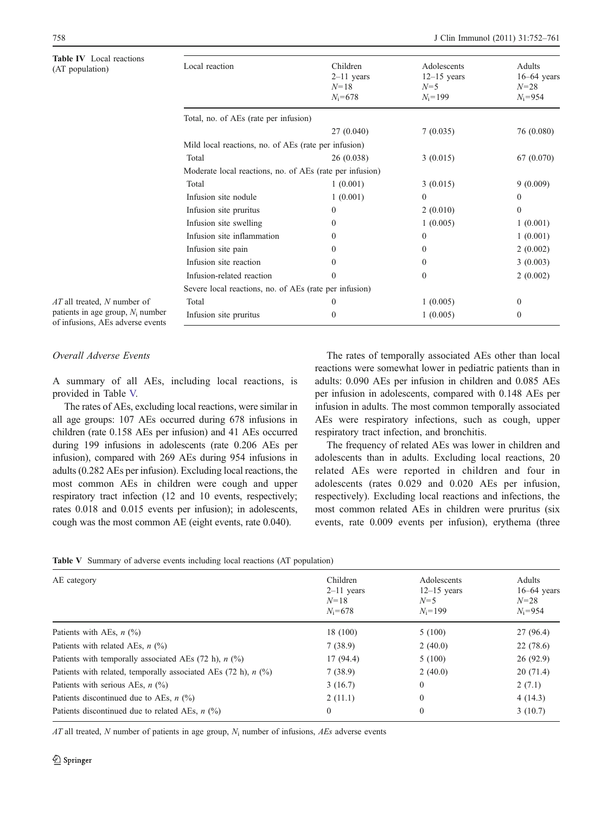#### <span id="page-6-0"></span>Table IV Local reactions (AT population)

| Local reaction                                           | Children<br>$2-11$ years<br>$N = 18$<br>$N_i = 678$ | Adolescents<br>$12-15$ years<br>$N=5$<br>$N_i = 199$ | Adults<br>$16-64$ years<br>$N = 28$<br>$N_i = 954$ |
|----------------------------------------------------------|-----------------------------------------------------|------------------------------------------------------|----------------------------------------------------|
| Total, no. of AEs (rate per infusion)                    |                                                     |                                                      |                                                    |
|                                                          | 27(0.040)                                           | 7(0.035)                                             | 76 (0.080)                                         |
| Mild local reactions, no. of AEs (rate per infusion)     |                                                     |                                                      |                                                    |
| Total                                                    | 26(0.038)                                           | 3(0.015)                                             | 67(0.070)                                          |
| Moderate local reactions, no. of AEs (rate per infusion) |                                                     |                                                      |                                                    |
| Total                                                    | 1(0.001)                                            | 3(0.015)                                             | 9(0.009)                                           |
| Infusion site nodule                                     | 1(0.001)                                            | $\mathbf{0}$                                         | $\mathbf{0}$                                       |
| Infusion site pruritus                                   | $\mathbf{0}$                                        | 2(0.010)                                             | $\Omega$                                           |
| Infusion site swelling                                   | $\Omega$                                            | 1(0.005)                                             | 1(0.001)                                           |
| Infusion site inflammation                               | $\Omega$                                            | $\mathbf{0}$                                         | 1(0.001)                                           |
| Infusion site pain                                       | $\Omega$                                            | $\Omega$                                             | 2(0.002)                                           |
| Infusion site reaction                                   | $\mathbf{0}$                                        | $\Omega$                                             | 3(0.003)                                           |
| Infusion-related reaction                                | $\boldsymbol{0}$                                    | $\Omega$                                             | 2(0.002)                                           |
| Severe local reactions, no. of AEs (rate per infusion)   |                                                     |                                                      |                                                    |
| Total                                                    | $\boldsymbol{0}$                                    | 1(0.005)                                             | $\Omega$                                           |
| Infusion site pruritus                                   | $\boldsymbol{0}$                                    | 1(0.005)                                             | $\Omega$                                           |
|                                                          |                                                     |                                                      |                                                    |

# Overall Adverse Events

AT all treated, N number of patients in age group, N<sup>i</sup> number of infusions, AEs adverse events

A summary of all AEs, including local reactions, is provided in Table V.

The rates of AEs, excluding local reactions, were similar in all age groups: 107 AEs occurred during 678 infusions in children (rate 0.158 AEs per infusion) and 41 AEs occurred during 199 infusions in adolescents (rate 0.206 AEs per infusion), compared with 269 AEs during 954 infusions in adults (0.282 AEs per infusion). Excluding local reactions, the most common AEs in children were cough and upper respiratory tract infection (12 and 10 events, respectively; rates 0.018 and 0.015 events per infusion); in adolescents, cough was the most common AE (eight events, rate 0.040).

The rates of temporally associated AEs other than local reactions were somewhat lower in pediatric patients than in adults: 0.090 AEs per infusion in children and 0.085 AEs per infusion in adolescents, compared with 0.148 AEs per infusion in adults. The most common temporally associated AEs were respiratory infections, such as cough, upper respiratory tract infection, and bronchitis.

The frequency of related AEs was lower in children and adolescents than in adults. Excluding local reactions, 20 related AEs were reported in children and four in adolescents (rates 0.029 and 0.020 AEs per infusion, respectively). Excluding local reactions and infections, the most common related AEs in children were pruritus (six events, rate 0.009 events per infusion), erythema (three

Table V Summary of adverse events including local reactions (AT population)

|              |                          | Adults                       |
|--------------|--------------------------|------------------------------|
|              |                          | $16-64$ years                |
| $N = 18$     | $N=5$                    | $N = 28$                     |
| $N_i = 678$  | $N_i = 199$              | $N_i = 954$                  |
| 18 (100)     | 5(100)                   | 27 (96.4)                    |
| 7(38.9)      | 2(40.0)                  | 22(78.6)                     |
| 17(94.4)     | 5(100)                   | 26(92.9)                     |
| 7(38.9)      | 2(40.0)                  | 20(71.4)                     |
| 3(16.7)      | $\mathbf{0}$             | 2(7.1)                       |
| 2(11.1)      | $\mathbf{0}$             | 4(14.3)                      |
| $\mathbf{0}$ | $\theta$                 | 3(10.7)                      |
|              | Children<br>$2-11$ years | Adolescents<br>$12-15$ years |

 $AT$  all treated, N number of patients in age group,  $N_i$  number of infusions, AEs adverse events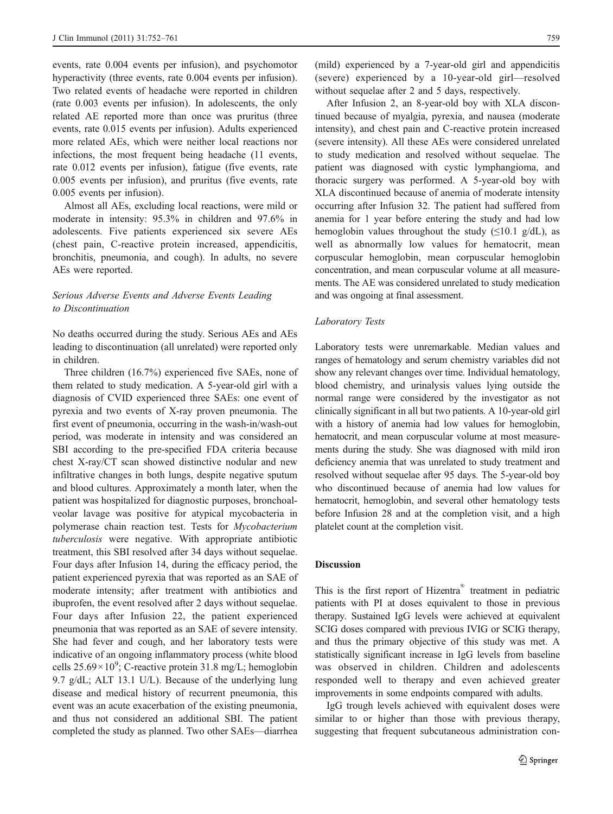events, rate 0.004 events per infusion), and psychomotor hyperactivity (three events, rate 0.004 events per infusion). Two related events of headache were reported in children (rate 0.003 events per infusion). In adolescents, the only related AE reported more than once was pruritus (three events, rate 0.015 events per infusion). Adults experienced more related AEs, which were neither local reactions nor infections, the most frequent being headache (11 events, rate 0.012 events per infusion), fatigue (five events, rate 0.005 events per infusion), and pruritus (five events, rate 0.005 events per infusion).

Almost all AEs, excluding local reactions, were mild or moderate in intensity: 95.3% in children and 97.6% in adolescents. Five patients experienced six severe AEs (chest pain, C-reactive protein increased, appendicitis, bronchitis, pneumonia, and cough). In adults, no severe AEs were reported.

# Serious Adverse Events and Adverse Events Leading to Discontinuation

No deaths occurred during the study. Serious AEs and AEs leading to discontinuation (all unrelated) were reported only in children.

Three children (16.7%) experienced five SAEs, none of them related to study medication. A 5-year-old girl with a diagnosis of CVID experienced three SAEs: one event of pyrexia and two events of X-ray proven pneumonia. The first event of pneumonia, occurring in the wash-in/wash-out period, was moderate in intensity and was considered an SBI according to the pre-specified FDA criteria because chest X-ray/CT scan showed distinctive nodular and new infiltrative changes in both lungs, despite negative sputum and blood cultures. Approximately a month later, when the patient was hospitalized for diagnostic purposes, bronchoalveolar lavage was positive for atypical mycobacteria in polymerase chain reaction test. Tests for Mycobacterium tuberculosis were negative. With appropriate antibiotic treatment, this SBI resolved after 34 days without sequelae. Four days after Infusion 14, during the efficacy period, the patient experienced pyrexia that was reported as an SAE of moderate intensity; after treatment with antibiotics and ibuprofen, the event resolved after 2 days without sequelae. Four days after Infusion 22, the patient experienced pneumonia that was reported as an SAE of severe intensity. She had fever and cough, and her laboratory tests were indicative of an ongoing inflammatory process (white blood cells  $25.69 \times 10^9$ ; C-reactive protein 31.8 mg/L; hemoglobin 9.7 g/dL; ALT 13.1 U/L). Because of the underlying lung disease and medical history of recurrent pneumonia, this event was an acute exacerbation of the existing pneumonia, and thus not considered an additional SBI. The patient completed the study as planned. Two other SAEs—diarrhea

(mild) experienced by a 7-year-old girl and appendicitis (severe) experienced by a 10-year-old girl—resolved without sequelae after 2 and 5 days, respectively.

After Infusion 2, an 8-year-old boy with XLA discontinued because of myalgia, pyrexia, and nausea (moderate intensity), and chest pain and C-reactive protein increased (severe intensity). All these AEs were considered unrelated to study medication and resolved without sequelae. The patient was diagnosed with cystic lymphangioma, and thoracic surgery was performed. A 5-year-old boy with XLA discontinued because of anemia of moderate intensity occurring after Infusion 32. The patient had suffered from anemia for 1 year before entering the study and had low hemoglobin values throughout the study ( $\leq 10.1$  g/dL), as well as abnormally low values for hematocrit, mean corpuscular hemoglobin, mean corpuscular hemoglobin concentration, and mean corpuscular volume at all measurements. The AE was considered unrelated to study medication and was ongoing at final assessment.

## Laboratory Tests

Laboratory tests were unremarkable. Median values and ranges of hematology and serum chemistry variables did not show any relevant changes over time. Individual hematology, blood chemistry, and urinalysis values lying outside the normal range were considered by the investigator as not clinically significant in all but two patients. A 10-year-old girl with a history of anemia had low values for hemoglobin, hematocrit, and mean corpuscular volume at most measurements during the study. She was diagnosed with mild iron deficiency anemia that was unrelated to study treatment and resolved without sequelae after 95 days. The 5-year-old boy who discontinued because of anemia had low values for hematocrit, hemoglobin, and several other hematology tests before Infusion 28 and at the completion visit, and a high platelet count at the completion visit.

## Discussion

This is the first report of Hizentra® treatment in pediatric patients with PI at doses equivalent to those in previous therapy. Sustained IgG levels were achieved at equivalent SCIG doses compared with previous IVIG or SCIG therapy, and thus the primary objective of this study was met. A statistically significant increase in IgG levels from baseline was observed in children. Children and adolescents responded well to therapy and even achieved greater improvements in some endpoints compared with adults.

IgG trough levels achieved with equivalent doses were similar to or higher than those with previous therapy, suggesting that frequent subcutaneous administration con-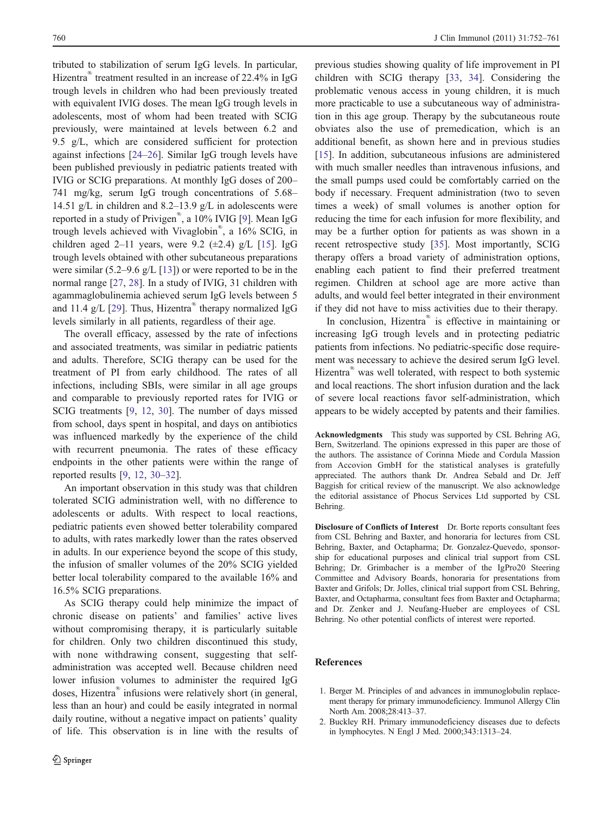<span id="page-8-0"></span>tributed to stabilization of serum IgG levels. In particular, Hizentra® treatment resulted in an increase of 22.4% in IgG trough levels in children who had been previously treated with equivalent IVIG doses. The mean IgG trough levels in adolescents, most of whom had been treated with SCIG previously, were maintained at levels between 6.2 and 9.5 g/L, which are considered sufficient for protection against infections [\[24](#page-9-0)–[26](#page-9-0)]. Similar IgG trough levels have been published previously in pediatric patients treated with IVIG or SCIG preparations. At monthly IgG doses of 200– 741 mg/kg, serum IgG trough concentrations of 5.68– 14.51 g/L in children and 8.2–13.9 g/L in adolescents were reported in a study of Privigen® , a 10% IVIG [[9](#page-9-0)]. Mean IgG trough levels achieved with Vivaglobin® , a 16% SCIG, in children aged 2–11 years, were 9.2  $(\pm 2.4)$  g/L [[15\]](#page-9-0). IgG trough levels obtained with other subcutaneous preparations were similar (5.2–9.6 g/L [[13\]](#page-9-0)) or were reported to be in the normal range [[27,](#page-9-0) [28](#page-9-0)]. In a study of IVIG, 31 children with agammaglobulinemia achieved serum IgG levels between 5 and 11.4 g/L [\[29](#page-9-0)]. Thus, Hizentra<sup>®</sup> therapy normalized IgG levels similarly in all patients, regardless of their age.

The overall efficacy, assessed by the rate of infections and associated treatments, was similar in pediatric patients and adults. Therefore, SCIG therapy can be used for the treatment of PI from early childhood. The rates of all infections, including SBIs, were similar in all age groups and comparable to previously reported rates for IVIG or SCIG treatments [[9,](#page-9-0) [12](#page-9-0), [30\]](#page-9-0). The number of days missed from school, days spent in hospital, and days on antibiotics was influenced markedly by the experience of the child with recurrent pneumonia. The rates of these efficacy endpoints in the other patients were within the range of reported results [\[9](#page-9-0), [12](#page-9-0), [30](#page-9-0)–[32\]](#page-9-0).

An important observation in this study was that children tolerated SCIG administration well, with no difference to adolescents or adults. With respect to local reactions, pediatric patients even showed better tolerability compared to adults, with rates markedly lower than the rates observed in adults. In our experience beyond the scope of this study, the infusion of smaller volumes of the 20% SCIG yielded better local tolerability compared to the available 16% and 16.5% SCIG preparations.

As SCIG therapy could help minimize the impact of chronic disease on patients' and families' active lives without compromising therapy, it is particularly suitable for children. Only two children discontinued this study, with none withdrawing consent, suggesting that selfadministration was accepted well. Because children need lower infusion volumes to administer the required IgG doses, Hizentra® infusions were relatively short (in general, less than an hour) and could be easily integrated in normal daily routine, without a negative impact on patients' quality of life. This observation is in line with the results of previous studies showing quality of life improvement in PI children with SCIG therapy [[33,](#page-9-0) [34](#page-9-0)]. Considering the problematic venous access in young children, it is much more practicable to use a subcutaneous way of administration in this age group. Therapy by the subcutaneous route obviates also the use of premedication, which is an additional benefit, as shown here and in previous studies [\[15](#page-9-0)]. In addition, subcutaneous infusions are administered with much smaller needles than intravenous infusions, and the small pumps used could be comfortably carried on the body if necessary. Frequent administration (two to seven times a week) of small volumes is another option for reducing the time for each infusion for more flexibility, and may be a further option for patients as was shown in a recent retrospective study [[35\]](#page-9-0). Most importantly, SCIG therapy offers a broad variety of administration options, enabling each patient to find their preferred treatment regimen. Children at school age are more active than adults, and would feel better integrated in their environment if they did not have to miss activities due to their therapy.

In conclusion, Hizentra<sup>®</sup> is effective in maintaining or increasing IgG trough levels and in protecting pediatric patients from infections. No pediatric-specific dose requirement was necessary to achieve the desired serum IgG level. Hizentra® was well tolerated, with respect to both systemic and local reactions. The short infusion duration and the lack of severe local reactions favor self-administration, which appears to be widely accepted by patents and their families.

Acknowledgments This study was supported by CSL Behring AG, Bern, Switzerland. The opinions expressed in this paper are those of the authors. The assistance of Corinna Miede and Cordula Massion from Accovion GmbH for the statistical analyses is gratefully appreciated. The authors thank Dr. Andrea Sebald and Dr. Jeff Baggish for critical review of the manuscript. We also acknowledge the editorial assistance of Phocus Services Ltd supported by CSL Behring.

Disclosure of Conflicts of Interest Dr. Borte reports consultant fees from CSL Behring and Baxter, and honoraria for lectures from CSL Behring, Baxter, and Octapharma; Dr. Gonzalez-Quevedo, sponsorship for educational purposes and clinical trial support from CSL Behring; Dr. Grimbacher is a member of the IgPro20 Steering Committee and Advisory Boards, honoraria for presentations from Baxter and Grifols; Dr. Jolles, clinical trial support from CSL Behring, Baxter, and Octapharma, consultant fees from Baxter and Octapharma; and Dr. Zenker and J. Neufang-Hueber are employees of CSL Behring. No other potential conflicts of interest were reported.

## References

- 1. Berger M. Principles of and advances in immunoglobulin replacement therapy for primary immunodeficiency. Immunol Allergy Clin North Am. 2008;28:413–37.
- 2. Buckley RH. Primary immunodeficiency diseases due to defects in lymphocytes. N Engl J Med. 2000;343:1313–24.